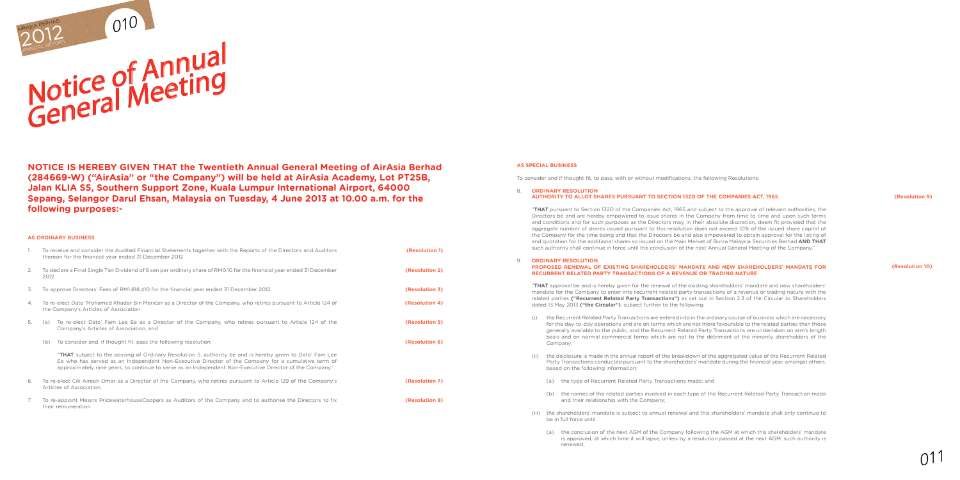#### **as special business**

To consider and if thought fit, to pass, with or without modifications, the following Resolutions:

## 8. **ORDINARY RESOLUTION**

# **AUTHORITY TO ALLOT SHARES PURSUANT TO SECTION 132D OF THE COMPANIES ACT, 1965**

"**THAT** pursuant to Section 132D of the Companies Act, 1965 and subject to the approval of relevant authorities, the Directors be and are hereby empowered to issue shares in the Company from time to time and upon such terms and conditions and for such purposes as the Directors may, in their absolute discretion, deem fit provided that the aggregate number of shares issued pursuant to this resolution does not exceed 10% of the issued share capital of the Company for the time being and that the Directors be and also empowered to obtain approval for the listing of and quotation for the additional shares so issued on the Main Market of Bursa Malaysia Securities Berhad **AND THAT**  such authority shall continue in force until the conclusion of the next Annual General Meeting of the Company."

### 9. **ORDINARY RESOLUTION PROPOSED RENEWAL OF EXISTING SHAREHOLDERS' MANDATE and new shareholders' mandate FOR RECURRENT RELATED PARTY TRANSACTIONS OF A REVENUE OR TRADING NATURE**

"**THAT** approval be and is hereby given for the renewal of the existing shareholders' mandate and new shareholders' mandate for the Company to enter into recurrent related party transactions of a revenue or trading nature with the related parties **("Recurrent Related Party Transactions")** as set out in Section 2.3 of the Circular to Shareholders dated 13 May 2013 **("the Circular")**, subject further to the following:

(i) the Recurrent Related Party Transactions are entered into in the ordinary course of business which are necessary for the day-to-day operations and are on terms which are not more favourable to the related parties than those generally available to the public, and the Recurrent Related Party Transactions are undertaken on arm's length basis and on normal commercial terms which are not to the detriment of the minority shareholders of the

- To re-elect Cik Aireen Omar as a Director of the Company, who retires pursuant to Article 129 of the Company's Articles of Association.
- 7. To re-appoint Messrs PricewaterhouseCoopers as Auditors of the Company and to authorise the Directors to fix their remuneration.

(ii) the disclosure is made in the annual report of the breakdown of the aggregated value of the Recurrent Related Party Transactions conducted pursuant to the shareholders' mandate during the financial year, amongst others, based on the following information:

(a) the type of Recurrent Related Party Transactions made; and

(b) the names of the related parties involved in each type of the Recurrent Related Party Transaction made and their relationship with the Company;

- Company;
- -
- 
- be in full force until:
	- renewed;

(iii) the shareholders' mandate is subject to annual renewal and this shareholders' mandate shall only continue to

(a) the conclusion of the next AGM of the Company following the AGM at which this shareholders' mandate is approved, at which time it will lapse, unless by a resolution passed at the next AGM, such authority is

#### **(Resolution 9)**

#### **(Resolution 10)**

### **AS ORDINARY BUSINESS**

- 1. To receive and consider the Audited Financial Statements together with the Reports of the Directors and Auditors thereon for the financial year ended 31 December 2012.
- 2. To declare a Final Single Tier Dividend of 6 sen per ordinary share of RM0.10 for the financial year ended 31 December 2012.
- 3. To approve Directors' Fees of RM1,818,410 for the financial year ended 31 December 2012.
- 4. To re-elect Dato' Mohamed Khadar Bin Merican as a Director of the Company, who retires pursuant to Article 124 of the Company's Articles of Association.
- 5. (a) To re-elect Dato' Fam Lee Ee as a Director of the Company, who retires pursuant to Article 124 of the Company's Articles of Association; and
	- (b) To consider and, if thought fit, pass the following resolution:

"**THAT** subject to the passing of Ordinary Resolution 5, authority be and is hereby given to Dato' Fam Lee Ee who has served as an Independent Non-Executive Director of the Company for a cumulative term of approximately nine years, to continue to serve as an Independent Non-Executive Director of the Company."

**NOTICE IS HEREBY GIVEN THAT the Twentieth Annual General Meeting of AirAsia Berhad (284669-W) ("AirAsia" or "the Company") will be held at AirAsia Academy, Lot PT25B, Jalan KLIA S5, Southern Support Zone, Kuala Lumpur International Airport, 64000 Sepang, Selangor Darul Ehsan, Malaysia on Tuesday, 4 June 2013 at 10.00 a.m. for the following purposes:-**

**(Resolution 1)**

**(Resolution 2)**

**(Resolution 3)**

**(Resolution 4)**



**(Resolution 5)**

**(Resolution 6)**

**(Resolution 7)**

**(Resolution 8)**